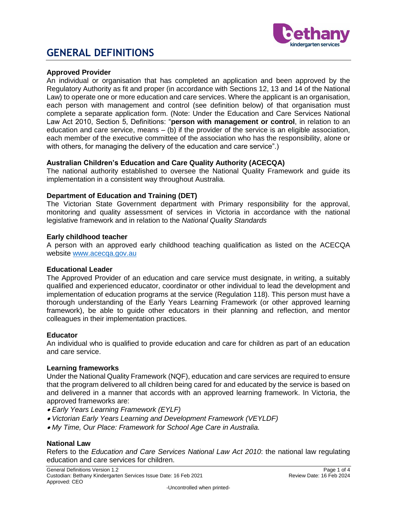

## **Approved Provider**

An individual or organisation that has completed an application and been approved by the Regulatory Authority as fit and proper (in accordance with Sections 12, 13 and 14 of the National Law) to operate one or more education and care services. Where the applicant is an organisation, each person with management and control (see definition below) of that organisation must complete a separate application form. (Note: Under the Education and Care Services National Law Act 2010, Section 5, Definitions: "**person with management or control**, in relation to an education and care service, means  $-$  (b) if the provider of the service is an eligible association, each member of the executive committee of the association who has the responsibility, alone or with others, for managing the delivery of the education and care service".)

## **Australian Children's Education and Care Quality Authority (ACECQA)**

The national authority established to oversee the National Quality Framework and guide its implementation in a consistent way throughout Australia.

## **Department of Education and Training (DET)**

The Victorian State Government department with Primary responsibility for the approval, monitoring and quality assessment of services in Victoria in accordance with the national legislative framework and in relation to the *National Quality Standards*

#### **Early childhood teacher**

A person with an approved early childhood teaching qualification as listed on the ACECQA website [www.acecqa.gov.au](http://www.acecqa.gov.au/)

#### **Educational Leader**

The Approved Provider of an education and care service must designate, in writing, a suitably qualified and experienced educator, coordinator or other individual to lead the development and implementation of education programs at the service (Regulation 118). This person must have a thorough understanding of the Early Years Learning Framework (or other approved learning framework), be able to guide other educators in their planning and reflection, and mentor colleagues in their implementation practices.

#### **Educator**

An individual who is qualified to provide education and care for children as part of an education and care service.

#### **Learning frameworks**

Under the National Quality Framework (NQF), education and care services are required to ensure that the program delivered to all children being cared for and educated by the service is based on and delivered in a manner that accords with an approved learning framework. In Victoria, the approved frameworks are:

- *Early Years Learning Framework (EYLF)*
- *Victorian Early Years Learning and Development Framework (VEYLDF)*
- *My Time, Our Place: Framework for School Age Care in Australia.*

#### **National Law**

Refers to the *Education and Care Services National Law Act 2010*: the national law regulating education and care services for children.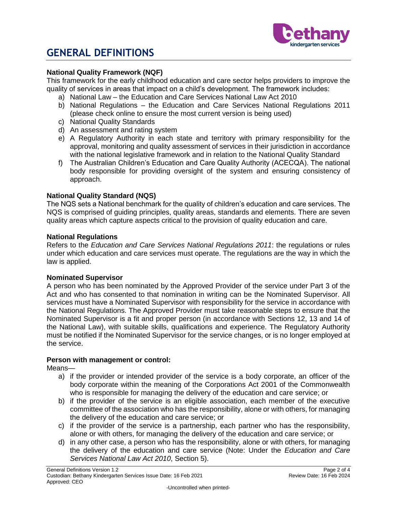

# **National Quality Framework (NQF)**

This framework for the early childhood education and care sector helps providers to improve the quality of services in areas that impact on a child's development. The framework includes:

- a) National Law the Education and Care Services National Law Act 2010
- b) National Regulations the Education and Care Services National Regulations 2011 (please check online to ensure the most current version is being used)
- c) National Quality Standards
- d) An assessment and rating system
- e) A Regulatory Authority in each state and territory with primary responsibility for the approval, monitoring and quality assessment of services in their jurisdiction in accordance with the national legislative framework and in relation to the National Quality Standard
- f) The Australian Children's Education and Care Quality Authority (ACECQA). The national body responsible for providing oversight of the system and ensuring consistency of approach.

# **National Quality Standard (NQS)**

The NQS sets a National benchmark for the quality of children's education and care services. The NQS is comprised of guiding principles, quality areas, standards and elements. There are seven quality areas which capture aspects critical to the provision of quality education and care.

#### **National Regulations**

Refers to the *Education and Care Services National Regulations 2011*: the regulations or rules under which education and care services must operate. The regulations are the way in which the law is applied.

#### **Nominated Supervisor**

A person who has been nominated by the Approved Provider of the service under Part 3 of the Act and who has consented to that nomination in writing can be the Nominated Supervisor. All services must have a Nominated Supervisor with responsibility for the service in accordance with the National Regulations. The Approved Provider must take reasonable steps to ensure that the Nominated Supervisor is a fit and proper person (in accordance with Sections 12, 13 and 14 of the National Law), with suitable skills, qualifications and experience. The Regulatory Authority must be notified if the Nominated Supervisor for the service changes, or is no longer employed at the service.

#### **Person with management or control:**

Means—

- a) if the provider or intended provider of the service is a body corporate, an officer of the body corporate within the meaning of the Corporations Act 2001 of the Commonwealth who is responsible for managing the delivery of the education and care service; or
- b) if the provider of the service is an eligible association, each member of the executive committee of the association who has the responsibility, alone or with others, for managing the delivery of the education and care service; or
- c) if the provider of the service is a partnership, each partner who has the responsibility, alone or with others, for managing the delivery of the education and care service; or
- d) in any other case, a person who has the responsibility, alone or with others, for managing the delivery of the education and care service (Note: Under the *Education and Care Services National Law Act 2010*, Section 5).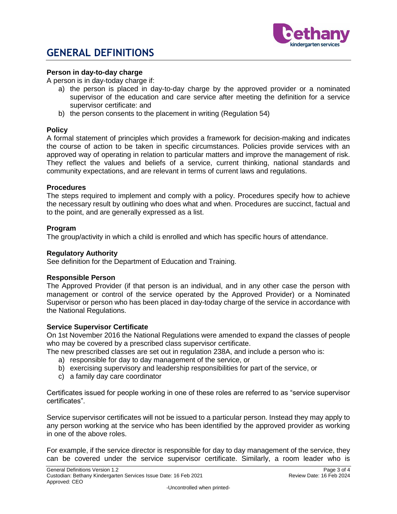

# **Person in day-to-day charge**

A person is in day-today charge if:

- a) the person is placed in day-to-day charge by the approved provider or a nominated supervisor of the education and care service after meeting the definition for a service supervisor certificate: and
- b) the person consents to the placement in writing (Regulation 54)

## **Policy**

A formal statement of principles which provides a framework for decision-making and indicates the course of action to be taken in specific circumstances. Policies provide services with an approved way of operating in relation to particular matters and improve the management of risk. They reflect the values and beliefs of a service, current thinking, national standards and community expectations, and are relevant in terms of current laws and regulations.

## **Procedures**

The steps required to implement and comply with a policy. Procedures specify how to achieve the necessary result by outlining who does what and when. Procedures are succinct, factual and to the point, and are generally expressed as a list.

## **Program**

The group/activity in which a child is enrolled and which has specific hours of attendance.

#### **Regulatory Authority**

See definition for the Department of Education and Training.

# **Responsible Person**

The Approved Provider (if that person is an individual, and in any other case the person with management or control of the service operated by the Approved Provider) or a Nominated Supervisor or person who has been placed in day-today charge of the service in accordance with the National Regulations.

# **Service Supervisor Certificate**

On 1st November 2016 the National Regulations were amended to expand the classes of people who may be covered by a prescribed class supervisor certificate.

The new prescribed classes are set out in regulation 238A, and include a person who is:

- a) responsible for day to day management of the service, or
- b) exercising supervisory and leadership responsibilities for part of the service, or
- c) a family day care coordinator

Certificates issued for people working in one of these roles are referred to as "service supervisor certificates".

Service supervisor certificates will not be issued to a particular person. Instead they may apply to any person working at the service who has been identified by the approved provider as working in one of the above roles.

For example, if the service director is responsible for day to day management of the service, they can be covered under the service supervisor certificate. Similarly, a room leader who is